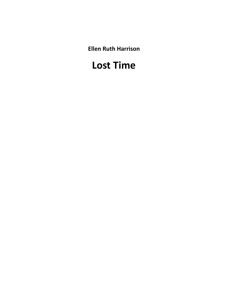**Ellen Ruth Harrison** 

# **Lost Time**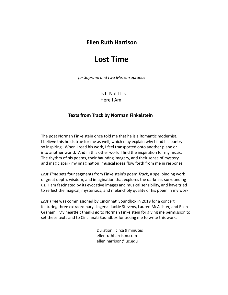### **Ellen Ruth Harrison**

## **Lost Time**

*for Soprano and two Mezzo-sopranos*

**Is It Not It Is** Here I Am

### **Texts from Track by Norman Finkelstein**

The poet Norman Finkelstein once told me that he is a Romantic modernist. I believe this holds true for me as well, which may explain why I find his poetry so inspiring. When I read his work, I feel transported onto another plane or into another world. And in this other world I find the inspiration for my music. The rhythm of his poems, their haunting imagery, and their sense of mystery and magic spark my imagination; musical ideas flow forth from me in response.

Lost Time sets four segments from Finkelstein's poem *Track*, a spellbinding work of great depth, wisdom, and imagination that explores the darkness surrounding us. I am fascinated by its evocative images and musical sensibility, and have tried to reflect the magical, mysterious, and melancholy quality of his poem in my work.

Lost Time was commissioned by Cincinnati Soundbox in 2019 for a concert featuring three extraordinary singers: Jackie Stevens, Lauren McAllister, and Ellen Graham. My heartfelt thanks go to Norman Finkelstein for giving me permission to set these texts and to Cincinnati Soundbox for asking me to write this work.

> Duration: circa 9 minutes ellenruthharrison.com ellen.harrison@uc.edu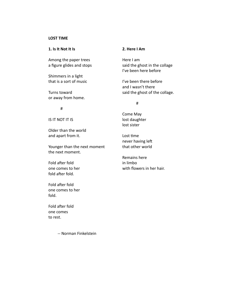#### **LOST TIME**

#### **1. Is It Not It Is 2. Here I Am**

Among the paper trees Here I am

Shimmers in a light that is a sort of music **Sout 1**'ve been there before

or away from home.

#### #

Older than the world and apart from it. So all the set of the lost time and apart from it.

Younger than the next moment buthat other world the next moment.

Fold after fold **accumulation** in limbo fold after fold.

Fold after fold one comes to her fold. 

Fold after fold one comes to rest.

-- Norman Finkelstein

a figure glides and stops and stops and stops a said the ghost in the collage I've been here before

and I wasn't there Turns toward **Example 20** and the ghost of the collage.

#### #

Come May IS IT NOT IT IS **Solution** lost daughter lost sister

never having left

Remains here one comes to her source the comes to her source the comes to her hair.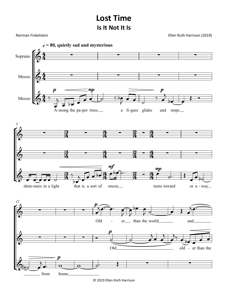## **Lost Time Is It Not It Is**

ſ⊧ ¢ ° ¢ ° ¢ Soprano Mezzo Mezzo q **= 80, quietly sad and mysterious** A -mong the pa-per trees œ  $\boldsymbol{p}$ mp a fi-gure glides and p stops *5* shim-mers in a light that is a sort of music mf turns toward mp or  $a - way$ Old p er than the world and *11* Old p old - er than the from home p 4  $\frac{4}{4}$ 4  $\frac{4}{4}$ 4  $\frac{4}{4}$ <u>3្</u>  $\frac{3}{4}$ 4  $\frac{4}{4}$ <u>2</u>  $\frac{2}{4}$ 4  $\frac{4}{4}$ <u>3្</u>  $\frac{3}{4}$ 4  $\frac{4}{4}$ <u>2</u>  $\frac{2}{4}$ 4  $\frac{4}{4}$ <u>3</u> 3<br>4 4  $\frac{4}{4}$ <u>2</u>  $\frac{2}{4}$ 4  $\frac{4}{4}$  $\begin{array}{|c|c|c|c|c|}\n\hline\n64 & - & - & - & - & - & - \hline\n\end{array}$ Norman Finkelstein Ellen Ruth Harrison (2019)  $\frac{1}{2}$   $\frac{1}{2}$   $\frac{1}{2}$   $\frac{1}{2}$   $\frac{1}{2}$   $\frac{1}{2}$   $\frac{1}{2}$   $\frac{1}{2}$   $\frac{1}{2}$   $\frac{1}{2}$   $\frac{1}{2}$   $\frac{1}{2}$   $\frac{1}{2}$   $\frac{1}{2}$   $\frac{1}{2}$   $\frac{1}{2}$   $\frac{1}{2}$   $\frac{1}{2}$   $\frac{1}{2}$   $\frac{1}{2}$   $\frac{1}{2}$   $\frac{1}{2}$   $\Phi$ & ∑ ∑ ∑ ∑ ∑ ∑ & ∑ ∑ ∑ ∑ ∑ ∑ & ∑ & ∑ ∑ ∑ & ∑ ∑ ∑ & ∑ ∑ —<br>م  $\overline{b}$  $\frac{1}{e}$  be  $\frac{1}{e}$  $\bullet$   $\bullet$   $\circ$   $\circ$   $\circ$  $\overline{\phantom{a}}$  $\overline{d}$  $\frac{1}{\gamma}$  $\overline{B}$  $\frac{1}{\sqrt{1-\frac{1}{c}}}$ œ œ™ œ œ œ ˙ .<br>م  $\mathbf{b}$  $\overline{)}$  $\frac{m_1}{2}$  be  $\frac{4}{4}$  e  $\frac{96}{4}$   $\frac{m_2}{4}$  =  $\frac{m_3}{4}$  $\frac{1}{\sigma}$ . œ  $e_{bc}$ œ  $\bigcirc$  e e  $\overline{P}$ œ  $\overline{P}$  $b$ e e  $\mathcal{G}$   $\longrightarrow$  $\sqrt{\epsilon}$  $\begin{array}{c|c} \hline \bullet & \bullet \end{array}$  $\overline{B}$  $\overline{\phantom{a}}$ j œ  $\overline{B}$  $\frac{1}{\sqrt{1-\frac{1}{\sqrt{1-\frac{1}{\sqrt{1-\frac{1}{\sqrt{1-\frac{1}{\sqrt{1-\frac{1}{\sqrt{1-\frac{1}{\sqrt{1-\frac{1}{\sqrt{1-\frac{1}{\sqrt{1-\frac{1}{\sqrt{1-\frac{1}{\sqrt{1-\frac{1}{\sqrt{1-\frac{1}{\sqrt{1-\frac{1}{\sqrt{1-\frac{1}{\sqrt{1-\frac{1}{\sqrt{1-\frac{1}{\sqrt{1-\frac{1}{\sqrt{1-\frac{1}{\sqrt{1-\frac{1}{\sqrt{1-\frac{1}{\sqrt{1-\frac{1}{\sqrt{1-\frac{1}{\sqrt{1-\frac{1}{\sqrt{1-\frac{1$  $\overline{\cdot}$ **be**  $\overline{b}$  $\bullet$  o  $\circ$   $\circ$ 

© 2019 Ellen Ruth Harrison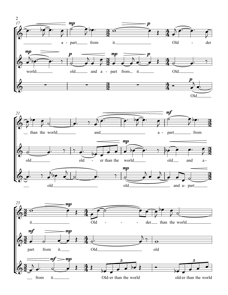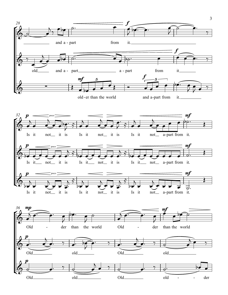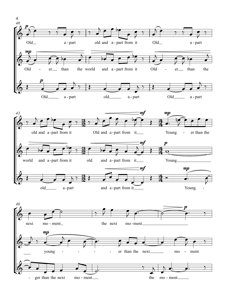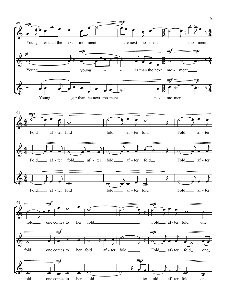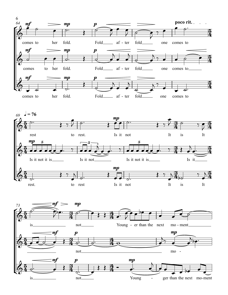



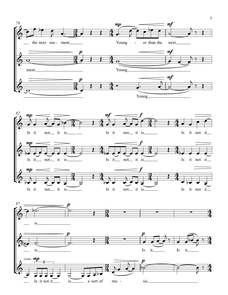

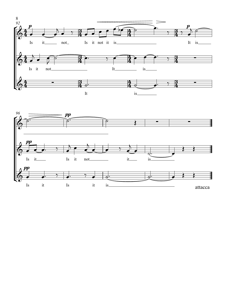

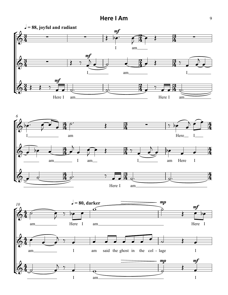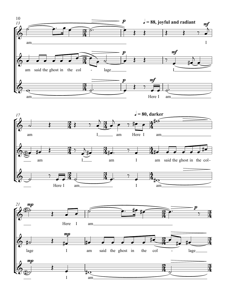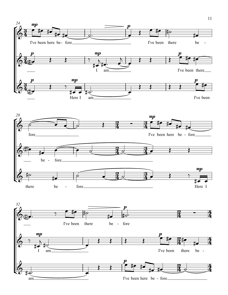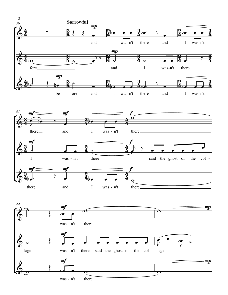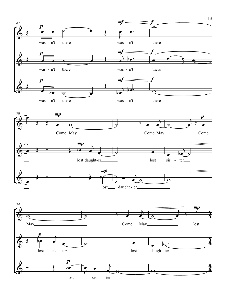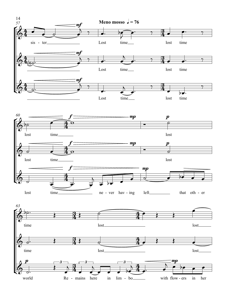